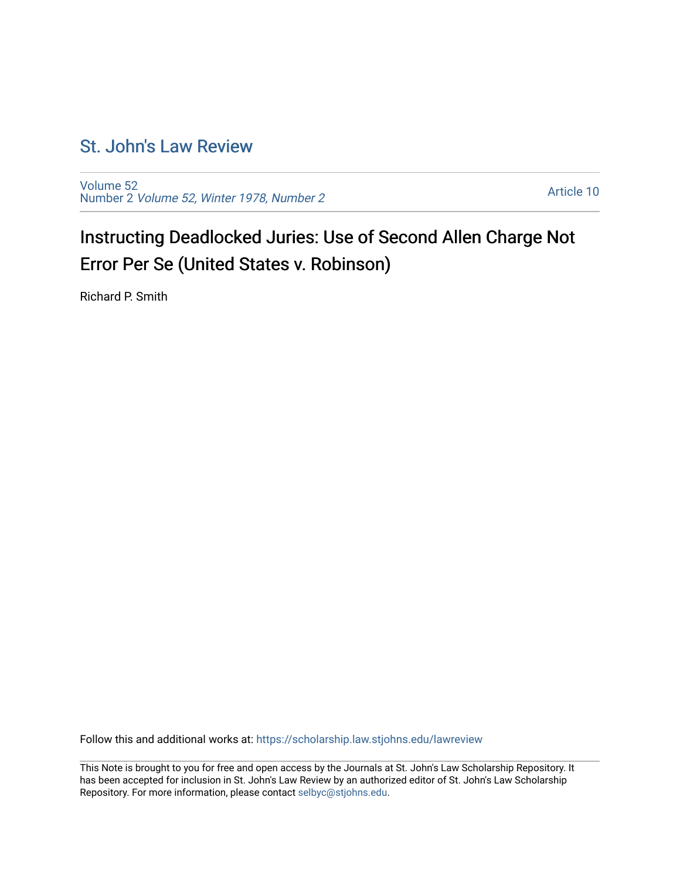# [St. John's Law Review](https://scholarship.law.stjohns.edu/lawreview)

[Volume 52](https://scholarship.law.stjohns.edu/lawreview/vol52) Number 2 [Volume 52, Winter 1978, Number 2](https://scholarship.law.stjohns.edu/lawreview/vol52/iss2)

[Article 10](https://scholarship.law.stjohns.edu/lawreview/vol52/iss2/10) 

Instructing Deadlocked Juries: Use of Second Allen Charge Not Error Per Se (United States v. Robinson)

Richard P. Smith

Follow this and additional works at: [https://scholarship.law.stjohns.edu/lawreview](https://scholarship.law.stjohns.edu/lawreview?utm_source=scholarship.law.stjohns.edu%2Flawreview%2Fvol52%2Fiss2%2F10&utm_medium=PDF&utm_campaign=PDFCoverPages) 

This Note is brought to you for free and open access by the Journals at St. John's Law Scholarship Repository. It has been accepted for inclusion in St. John's Law Review by an authorized editor of St. John's Law Scholarship Repository. For more information, please contact [selbyc@stjohns.edu.](mailto:selbyc@stjohns.edu)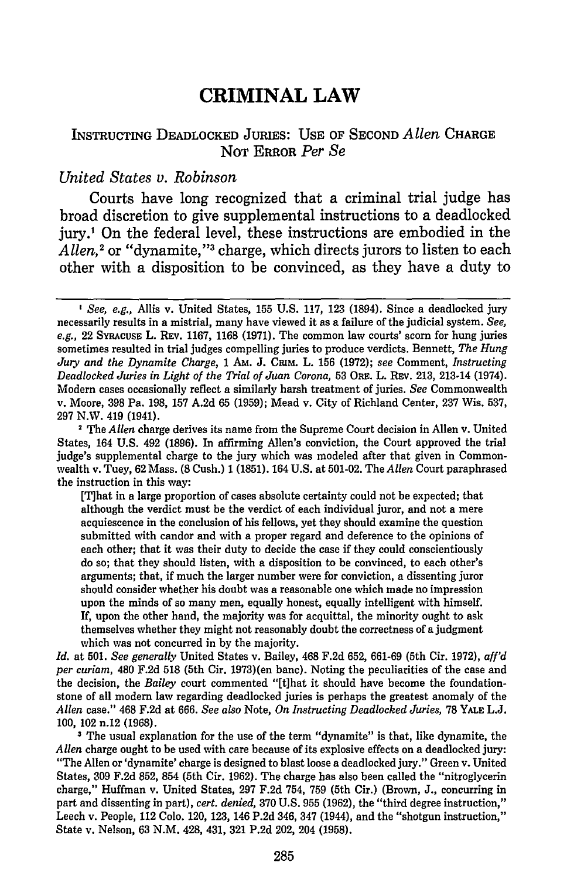## **CRIMINAL LAW**

### INSTRUCTING DEADLOCKED JURIES: **USE** OF SECOND *Allen* **CHARGE NOT** ERROR *Per Se*

#### *United States v. Robinson*

Courts have long recognized that a criminal trial judge has broad discretion to give supplemental instructions to a deadlocked jury.' On the federal level, these instructions are embodied in the Allen,<sup>2</sup> or "dynamite,"<sup>3</sup> charge, which directs jurors to listen to each other with a disposition to be convinced, as they have a duty to

[T]hat in a large proportion of cases absolute certainty could not be expected; that although the verdict must be the verdict of each individual juror, and not a mere acquiescence in the conclusion of his fellows, yet they should examine the question submitted with candor and with a proper regard and deference to the opinions of each other; that it was their duty to decide the case if they could conscientiously do so; that they should listen, with a disposition to be convinced, to each other's arguments; that, if much the larger number were for conviction, a dissenting juror should consider whether his doubt was a reasonable one which made no impression upon the minds of so many men, equally honest, equally intelligent with himself. If, upon the other hand, the majority was for acquittal, the minority ought to ask themselves whether they might not reasonably doubt the correctness of a judgment which was not concurred in **by** the majority.

*Id.* at **501.** *See generally* United States v. Bailey, 468 **F.2d 652, 661-69** (5th Cir. **1972),** *aff'd per curiam,* 480 **F.2d 518** (5th Cir. 1973)(en banc). Noting the peculiarities of the case and the decision, the *Bailey* court commented **"[t]hat** it should have become the foundationstone of all modem law regarding deadlocked juries is perhaps the greatest anomaly of the *Allen* case." 468 **F.2d** at **666.** *See also* Note, *On Instructing Deadlocked Juries,* **78** YALE **L.J. 100,** 102 n.12 **(1968).**

**-** The usual explanation for the use of the term "dynamite" is that, like dynamite, the *Allen* charge ought to be used with care because of its explosive effects on a deadlocked jury: "The Allen or 'dynamite' charge is designed to blast loose a deadlocked jury." Green v. United States, **309 F.2d 852,** 854 (5th Cir. **1962).** The charge has also been called the "nitroglycerin charge," Huffman v. United States, **297 F.2d** 754, **759** (5th Cir.) (Brown, **J.,** concurring in part and dissenting in part), *cert. denied,* **370 U.S. 955 (1962),** the "third degree instruction," Leech v. People, 112 **Colo.** 120, **123,** 146 **P.2d** 346, 347 (1944), and the "shotgun instruction," State v. Nelson, **63 N.M.** 428, 431, **321 P.2d** 202, 204 **(1958).**

*I See, e.g.,* Allis v. United States, **155 U.S. 117, 123** (1894). Since a deadlocked jury necessarily results in a mistrial, many have viewed it as a failure of the judicial system. *See, e.g.,* 22 **SYRACUSE** L. REv. **1167, 1168 (1971).** The common law courts' scorn for hung juries sometimes resulted in trial judges compelling juries to produce verdicts. Bennett, *The Hung Jury and the Dynamite Charge, 1 Am. J. CRIM. L. 156 (1972); see Comment, <i>Instructing Deadlocked Juries in Light of the Trial of Juan Corona,* **53** ORE. L. REv. **213,** 213-14 (1974). Modern cases occasionally reflect a similarly harsh treatment of juries. *See* Commonwealth v. Moore, **398** Pa. **198, 157 A.2d 65 (1959);** Mead v. City of Richland Center, **237** Wis. **537, 297** N.W. 419 (1941).

**<sup>1</sup>** The *Allen* charge derives its name from the Supreme Court decision in Allen v. United States, 164 **U.S.** 492 **(1896).** In affirming Allen's conviction, the Court approved the trial judge's supplemental charge to the jury which was modeled after that given in Commonwealth v. Tuey, **62** Mass. **(8** Cush.) 1 **(1851).** 164 **U.S.** at **501-02.** The *Allen* Court paraphrased the instruction in this way: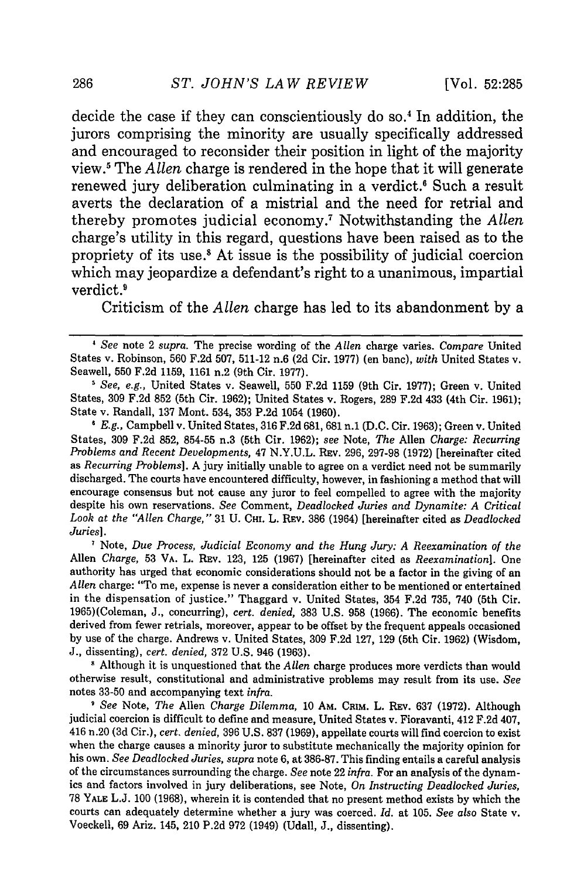decide the case if they can conscientiously do so.4 In addition, the jurors comprising the minority are usually specifically addressed and encouraged to reconsider their position in light of the majority view.5 The *Allen* charge is rendered in the hope that it will generate renewed jury deliberation culminating in a verdict.<sup>6</sup> Such a result averts the declaration of a mistrial and the need for retrial and thereby promotes judicial economy. 7 Notwithstanding the *Allen* charge's utility in this regard, questions have been raised as to the propriety of its **use.8** At issue is the possibility of judicial coercion which may jeopardize a defendant's right to a unanimous, impartial verdict.<sup>9</sup>

Criticism of the *Allen* charge has led to its abandonment by a

*' E.g.,* Campbell v. United States, 316 F.2d 681, 681 n.1 (D.C. Cir. 1963); Green v. United States, 309 F.2d 852, 854-55 n.3 (5th Cir. 1962); *see* Note, *The* Allen *Charge: Recurring Problems and Recent Developments,* 47 **N.Y.U.L.** Rav. 296, 297-98 **(1972)** [hereinafter cited as *Recurring Problems].* A jury initially unable to agree on a verdict need not be summarily discharged. The courts have encountered difficulty, however, in fashioning a method that will encourage consensus but not cause any juror to feel compelled to agree with the majority despite his own reservations. *See* Comment, *Deadlocked Juries and Dynamite: A Critical Look at the "Allen Charge,"* 31 U. **CHI.** L. REV. 386 (1964) [hereinafter cited as *Deadlocked Juries].*

**I** Note, *Due Process, Judicial Economy and the Hung Jury: A Reexamination of the* Allen *Charge,* 53 VA. L. Rav. 123, 125 (1967) [hereinafter cited as *Reexamination].* One authority has urged that economic considerations should not be a factor in the giving of an *Allen* charge: "To me, expense is never a consideration either to be mentioned or entertained in the dispensation of justice." Thaggard v. United States, 354 F.2d 735, 740 (5th Cir. 1965)(Coleman, J., concurring), *cert. denied,* 383 U.S. 958 (1966). The economic benefits derived from fewer retrials, moreover, appear to be offset by the frequent appeals occasioned by use of the charge. Andrews v. United States, 309 F.2d 127, 129 (5th Cir. 1962) (Wisdom, J., dissenting), *cert. denied,* 372 U.S. 946 (1963).

**1** Although it is unquestioned that the *Allen* charge produces more verdicts than would otherwise result, constitutional and administrative problems may result from its use. *See* notes 33-50 and accompanying text *infra.*

*I See* Note, *The* Allen *Charge Dilemma,* 10 AM. CaM. L. REV. 637 (1972). Although judicial coercion is difficult to define and measure, United States v. Fioravanti, 412 F.2d 407, 416 n.20 (3d Cir.), *cert. denied,* 396 U.S. 837 (1969), appellate courts will find coercion to exist when the charge causes a minority juror to substitute mechanically the majority opinion for his own. *See Deadlocked Juries, supra* note 6, at 386-87. This finding entails a careful analysis of the circumstances surrounding the charge. *See* note 22 *infra.* For an analysis of the dynamics and factors involved in jury deliberations, see Note, On *Instructing Deadlocked Juries,* 78 YALE L.J. 100 (1968), wherein it is contended that no present method exists by which the courts can adequately determine whether a jury was coerced. *Id.* at 105. *See also* State v. Voeckell, 69 Ariz. 145, 210 P.2d 972 (1949) (Udall, J., dissenting).

*See* note 2 *supra.* The precise wording of the *Allen* charge varies. *Compare* United States v. Robinson, 560 F.2d 507, 511-12 n.6 (2d Cir. 1977) (en banc), *with* United States v. Seawell, 550 F.2d 1159, 1161 n.2 (9th Cir. 1977).

*<sup>1</sup> See, e.g.,* United States v. Seawell, 550 F.2d 1159 (9th Cir. 1977); Green v. United States, 309 F.2d 852 (5th Cir. 1962); United States v. Rogers, 289 F.2d 433 (4th Cir. 1961); State v. Randall, 137 Mont. 534, 353 P.2d 1054 (1960).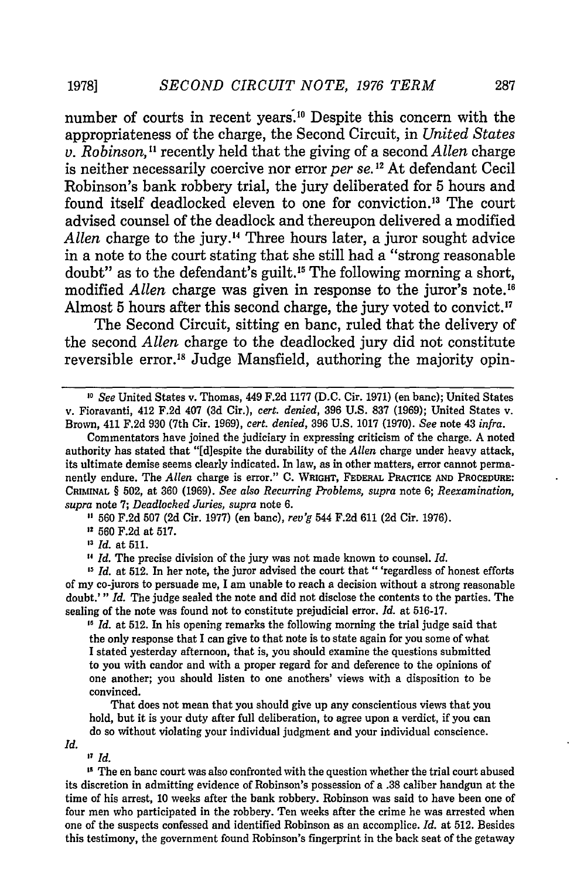number of courts in recent years.<sup>10</sup> Despite this concern with the appropriateness of the charge, the Second Circuit, in *United States v. Robinson,"* recently held that the giving of a second *Allen* charge is neither necessarily coercive nor error *per se*.<sup>12</sup> At defendant Cecil Robinson's bank robbery trial, the jury deliberated for 5 hours and found itself deadlocked eleven to one for conviction.<sup>13</sup> The court advised counsel of the deadlock and thereupon delivered a modified Allen charge to the jury.<sup>14</sup> Three hours later, a juror sought advice in a note to the court stating that she still had a "strong reasonable doubt" as to the defendant's guilt.<sup>15</sup> The following morning a short, modified *Allen* charge was given in response to the juror's note.<sup>16</sup> Almost 5 hours after this second charge, the jury voted to convict."

The Second Circuit, sitting en banc, ruled that the delivery of the second *Allen* charge to the deadlocked jury did not constitute reversible error.'8 Judge Mansfield, authoring the majority opin-

**560 F.2d 507 (2d** Cir. **1977)** (en banc), *rev'g* 544 **F.2d 611 (2d** Cir. **1976).**

**<sup>22</sup>560 F.2d** at **517.**

**"** *Id.* at **511.**

**<sup>2</sup>***Id.* The precise division of the jury was not made known to counsel. *Id.*

*11 Id.* at **512.** In his opening remarks the following morning the trial judge said that the only response that I can give to that note is to state again for you some of what I stated yesterday afternoon, that is, you should examine the questions submitted to you with candor and with a proper regard for and deference to the opinions of one another; you should listen to one anothers' views with a disposition to be convinced.

That does not mean that you should give up any conscientious views that you hold, but it is your duty after full deliberation, to agree upon a verdict, if you can do so without violating your individual judgment and your individual conscience.

*Id.*

**27** *Id.*

**"** The en banc court was also confronted with the question whether the trial court abused its discretion in admitting evidence of Robinson's possession of a **.38** caliber handgun at the time of his arrest, **10** weeks after the bank robbery. Robinson was said to have been one of four men who participated in the robbery. Ten weeks after the crime he was arrested when one of the suspects confessed and identified Robinson as an accomplice. *Id.* at **512.** Besides this testimony, the government found Robinson's fingerprint in the back seat of the getaway

*<sup>,</sup>o See* United States v. Thomas, 449 **F.2d 1177 (D.C.** Cir. **1971)** (en banc); United States v. Fioravanti, 412 **F.2d** 407 **(3d** Cir.), *cert. denied,* **396 U.S. 837 (1969);** United States v. Brown, 411 **F.2d 930** (7th Cir. **1969),** *cert. denied,* **396 U.S. 1017 (1970).** *See* note 43 *infra.*

Commentators have joined the judiciary in expressing criticism of the charge. **A** noted authority has stated that "[d]espite the durability of the *Allen* charge under heavy attack, its ultimate demise seems clearly indicated. In law, as in other matters, error cannot permanently endure. The *Allen* charge is error." **C. WRIGHT, FEDERAL PRACTICE AND PROCEDURE: CRIMINAL** § **502,** at **360 (1969).** *See also Recurring Problems, supra* note **6;** *Reexamination, supra* note **7;** *Deadlocked Juries, supra* note **6.**

**<sup>&</sup>quot;** *Id.* at **512.** In her note, the juror advised the court that "'regardless of honest efforts of my co-jurors to persuade me, **I** am unable to reach a decision without a strong reasonable doubt.'" *Id.* The judge sealed the note and did not disclose the contents to the parties. The sealing of the note was found not to constitute prejudicial error. *Id.* at **516-17.**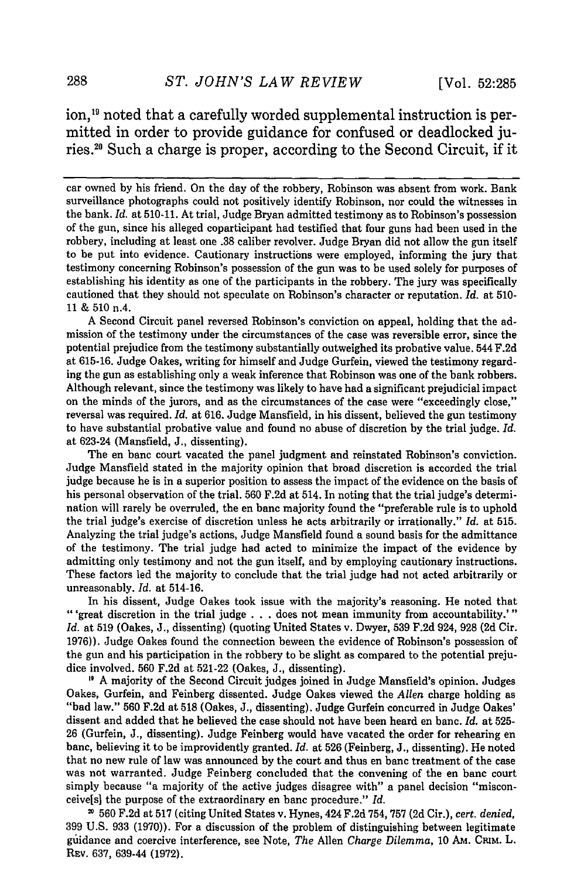ion,<sup>19</sup> noted that a carefully worded supplemental instruction is permitted in order to provide guidance for confused or deadlocked juries.2 " Such a charge is proper, according to the Second Circuit, if it

car owned by his friend. On the day of the robbery, Robinson was absent from work. Bank surveillance photographs could not positively identify Robinson, nor could the witnesses in the bank. *Id.* at 510-11. At trial, Judge Bryan admitted testimony as to Robinson's possession of the gun, since his alleged coparticipant had testified that four guns had been used in the robbery, including at least one .38 caliber revolver. Judge Bryan did not allow the gun itself to be put into evidence. Cautionary instructions were employed, informing the jury that testimony concerning Robinson's possession of the gun was to be used solely for purposes of establishing his identity as one of the participants in the robbery. The jury was specifically cautioned that they should not speculate on Robinson's character or reputation. *Id.* at 510- 11 & 510 n.4.

A Second Circuit panel reversed Robinson's conviction on appeal, holding that the admission of the testimony under the circumstances of the case was reversible error, since the potential prejudice from the testimony substantially outweighed its probative value. 544 F.2d at 615-16. Judge Oakes, writing for himself and Judge Gurfein, viewed the testimony regarding the gun as establishing only a weak inference that Robinson was one of the bank robbers. Although relevant, since the testimony was likely to have had a significant prejudicial impact on the minds of the jurors, and as the circumstances of the case were "exceedingly close," reversal was required. *Id.* at 616. Judge Mansfield, in his dissent, believed the gun testimony to have substantial probative value and found no abuse of discretion **by** the trial judge. *Id.* at 623-24 (Mansfield, **J.,** dissenting).

The en banc court vacated the panel judgment and reinstated Robinson's conviction. Judge Mansfield stated in the majority opinion that broad discretion is accorded the trial judge because he is in a superior position to assess the impact of the evidence on the basis of his personal observation of the trial. **560 F.2d** at 514. In noting that the trial judge's determination will rarely he overruled, the en banc majority found the "preferable rule is to uphold the trial judge's exercise of discretion unless he acts arbitrarily or irrationally." *Id.* at **515.** Analyzing the trial judge's actions, Judge Mansfield found a sound basis for the admittance of the testimony. The trial judge had acted to minimize the impact of the evidence **by** admitting only testimony and not the gun itself, and **by** employing cautionary instructions. These factors led the majority to conclude that the trial judge had not acted arbitrarily or unreasonably. *Id.* at 514-16.

In his dissent, Judge Oakes took issue with the majority's reasoning. He noted that "'great discretion in the trial judge **. . .** does not mean immunity from accountability.'" *Id.* at **519** (Oakes, **J.,** dissenting) (quoting United States v. Dwyer, **539 F.2d** 924, **928 (2d** Cir. **1976)).** Judge Oakes found the connection beween the evidence of Robinson's possession of the gun and his participation in the robbery to be slight as compared to the potential prejudice involved. **560 F.2d** at **521-22** (Oakes, **J.,** dissenting).

**11** A majority of the Second Circuit judges joined in Judge Mansfield's opinion. Judges Oakes, Gurfein, and Feinberg dissented. Judge Oakes viewed the *Allen* charge holding as "bad law." 560 F.2d at 518 (Oakes, J., dissenting). Judge Gurfein concurred in Judge Oakes' dissent and added that he believed the case should not have been heard en banc. *Id.* at 525- 26 (Gurfein, J., dissenting). Judge Feinberg would have vacated the order for rehearing en banc, believing it to be improvidently granted. *Id.* at 526 (Feinberg, J., dissenting). He noted that no new rule of law was announced by the court and thus en banc treatment of the case was not warranted. Judge Feinberg concluded that the convening of the en banc court simply because "a majority of the active judges disagree with" a panel decision "misconceivels] the purpose of the extraordinary en banc procedure." *Id.*

560 F.2d at 517 (citing United States v. Hynes, 424 F.2d 754, 757 **(2d** Cir.), *cert. denied,* 399 U.S. 933 (1970)). For a discussion of the problem of distinguishing between legitimate guidance and coercive interference, see Note, *The* Allen *Charge Dilemma,* 10 AM. CrM. L. REv. 637, 639-44 (1972).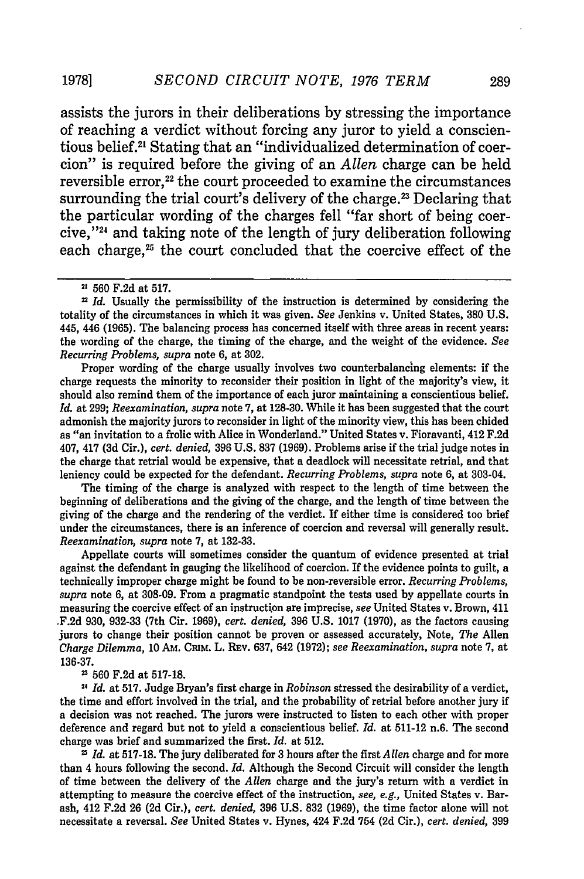assists the jurors in their deliberations by stressing the importance of reaching a verdict without forcing any juror to yield a conscientious belief.2' Stating that an "individualized determination of coercion" is required before the giving of an *Allen* charge can be held reversible error,<sup>22</sup> the court proceeded to examine the circumstances surrounding the trial court's delivery of the charge.<sup>23</sup> Declaring that the particular wording of the charges fell "far short of being coercive,"<sup>24</sup> and taking note of the length of jury deliberation following each charge,<sup>25</sup> the court concluded that the coercive effect of the

Proper wording of the charge usually involves two counterbalancing elements: if the charge requests the minority to reconsider their position in light of the majority's view, it should also remind them of the importance of each juror maintaining a conscientious belief. *Id.* at 299; *Reexamination, supra* note 7, at 128-30. While it has been suggested that the court admonish the majority jurors to reconsider in light of the minority view, this has been chided as "an invitation to a frolic with Alice in Wonderland." United States v. Fioravanti, 412 F.2d 407, 417 (3d Cir.), *cert. denied,* 396 U.S. 837 (1969). Problems arise if the trial judge notes in the charge that retrial would be expensive, that a deadlock will necessitate retrial, and that leniency could be expected for the defendant. *Recurring Problems, supra* note 6, at 303-04.

The timing of the charge is analyzed with respect to the length of time between the beginning of deliberations and the giving of the charge, and the length of time between the giving of the charge and the rendering of the verdict. If either time is considered too brief under the circumstances, there is an inference of coercion and reversal will generally result. *Reexamination, supra* note 7, at 132-33.

Appellate courts will sometimes consider the quantum of evidence presented at trial against the defendant in gauging the likelihood of coercion. If the evidence points to guilt, a technically improper charge might be found to be non-reversible error. *Recurring Problems, supra* note 6, at 308-09. From a pragmatic standpoint the tests used by appellate courts in measuring the coercive effect of an instruction are imprecise, *see* United States v. Brown, 411 .F.2d 930, 932-33 (7th Cir. 1969), *cert. denied,* 396 U.S. 1017 (1970), as the factors causing jurors to change their position cannot be proven or assessed accurately, Note, *The* Allen *Charge Dilemma,* 10 AM. CamM. L. REv. 637, 642 (1972); *see Reexamination, supra* note 7, at 136-37.

 $23$  560 F.2d at 517-18.

**2,** *Id.* at 517. Judge Bryan's first charge in *Robinson* stressed the desirability of a verdict, the time and effort involved in the trial, and the probability of retrial before another jury if a decision was not reached. The jurors were instructed to listen to each other with proper deference and regard but not to yield a conscientious belief. *Id.* at 511-12 n.6. The second charge was brief and summarized the first. *Id.* at 512.

*1 Id.* at 517-18. The jury deliberated for 3 hours after the first *Allen* charge and for more than 4 hours following the second. *Id.* Although the Second Circuit will consider the length of time between the delivery of the *Allen* charge and the jury's return with a verdict in attempting to measure the coercive effect of the instruction, *see, e.g.,* United States v. Barash, 412 F.2d 26 (2d Cir.), *cert. denied,* 396 U.S. 832 (1969), the time factor alone will not necessitate a reversal. *See* United States v. Hynes, 424 F.2d 754 (2d Cir.), *cert. denied,* 399

**1978]**

**<sup>22</sup>** 560 F.2d at 517.

<sup>&</sup>lt;sup>22</sup> *Id.* Usually the permissibility of the instruction is determined by considering the totality of the circumstances in which it was given. *See* Jenkins v. United States, 380 U.S. 445, 446 (1965). The balancing process has concerned itself with three areas in recent years: the wording of the charge, the timing of the charge, and the weight of the evidence. *See Recurring Problems, supra* note 6, at 302.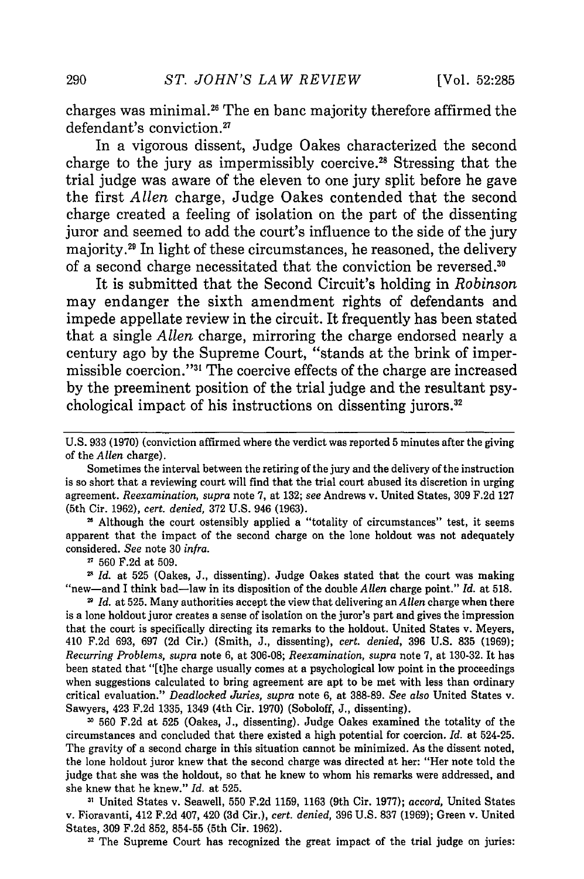charges was minimal.26 The en banc majority therefore affirmed the defendant's conviction.<sup>27</sup>

In a vigorous dissent, Judge Oakes characterized the second charge to the jury as impermissibly coercive.28 Stressing that the trial judge was aware of the eleven to one jury split before he gave the first *Allen* charge, Judge Oakes contended that the second charge created a feeling of isolation on the part of the dissenting juror and seemed to add the court's influence to the side of the jury majority.29 In light of these circumstances, he reasoned, the delivery of a second charge necessitated that the conviction be reversed.<sup>30</sup>

It is submitted that the Second Circuit's holding in *Robinson* may endanger the sixth amendment rights of defendants and impede appellate review in the circuit. It frequently has been stated that a single *Allen* charge, mirroring the charge endorsed nearly a century ago by the Supreme Court, "stands at the brink of impermissible coercion."<sup>31</sup> The coercive effects of the charge are increased by the preeminent position of the trial judge and the resultant psychological impact of his instructions on dissenting jurors.<sup>32</sup>

U.S. 933 (1970) (conviction affirmed where the verdict was reported 5 minutes after the giving of the *Allen* charge).

Sometimes the interval between the retiring of the jury and the delivery of the instruction is so short that a reviewing court will find that the trial court abused its discretion in urging agreement. *Reexamination, supra* note 7, at 132; *see* Andrews v. United States, 309 F.2d 127 (5th Cir. 1962), *cert. denied,* 372 U.S. 946 (1963).

**"** Although the court ostensibly applied a "totality of circumstances" test, it seems apparent that the impact of the second charge on the lone holdout was not adequately considered. *See* note 30 *infra.*

21 560 F.2d at 509.

*Id.* at 525 (Oakes, J., dissenting). Judge Oakes stated that the court was making "new-and I think bad-law in its disposition of the double *Allen* charge point." *Id.* at 518.

*Id.* at 525. Many authorities accept the view that delivering an *Allen* charge when there is a lone holdout juror creates a sense of isolation on the juror's part and gives the impression that the court is specifically directing its remarks to the holdout. United States v. Meyers, 410 F.2d 693, 697 (2d Cir.) (Smith, J., dissenting), *cert. denied,* 396 U.S. 835 (1969); *Recurring Problems, supra* note 6, at 306-08; *Reexamination, supra* note 7, at 130-32. It has been stated that "[tihe charge usually comes at a psychological low point in the proceedings when suggestions calculated to bring agreement are apt to be met with less than ordinary critical evaluation." *Deadlocked Juries, supra* note 6, at 388-89. *See also* United States v. Sawyers, 423 F.2d 1335, 1349 (4th Cir. 1970) (Soboloff, J., dissenting).

**31** 560 F.2d at 525 (Oakes, J., dissenting). Judge Oakes examined the totality of the circumstances and concluded that there existed a high potential for coercion. *Id.* at 524-25. The gravity of a second charge in this situation cannot be minimized. As the dissent noted, the lone holdout juror knew that the second charge was directed at her: "Her note told the judge that she was the holdout, so that he knew to whom his remarks were addressed, and she knew that he knew." *Id.* at 525.

**1'** United States v. Seawell, 550 F.2d 1159, 1163 (9th Cir. 1977); *accord,* United States v. Fioravanti, 412 F.2d 407, 420 (3d Cir.), *cert. denied,* 396 U.S. 837 (1969); Green v. United States, 309 F.2d 852, 854-55 (5th Cir. 1962).

**32** The Supreme Court has recognized the great impact of the trial judge on juries: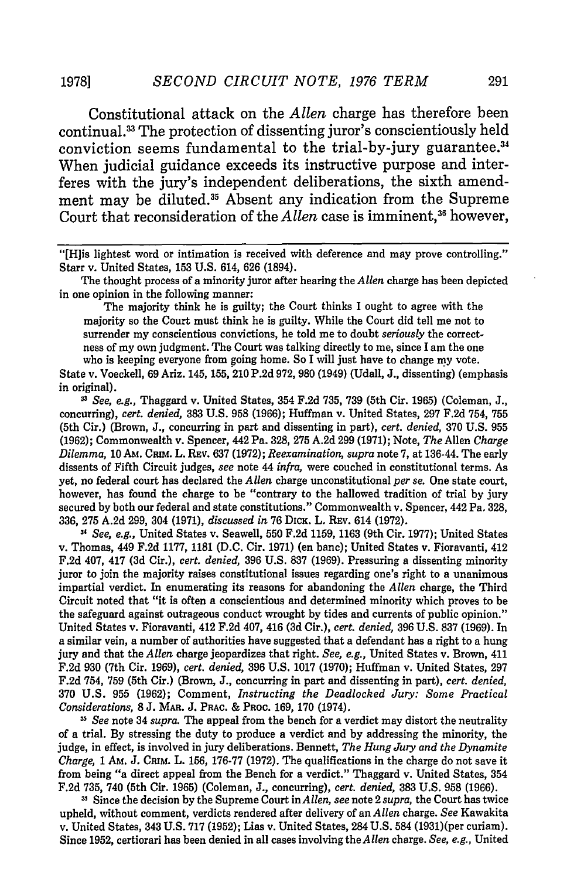**19781**

Constitutional attack on the *Allen* charge has therefore been continual.<sup>33</sup> The protection of dissenting juror's conscientiously held conviction seems fundamental to the trial-by-jury guarantee.<sup>34</sup> When judicial guidance exceeds its instructive purpose and interferes with the jury's independent deliberations, the sixth amendment may be diluted.<sup>35</sup> Absent any indication from the Supreme Court that reconsideration of the *Allen* case is imminent,<sup>36</sup> however,

The thought process of a minority juror after hearing the *Allen* charge has been depicted in one opinion in the following manner:

The majority think he is guilty; the Court thinks I ought to agree with the majority so the Court must think he is guilty. While the Court did tell me not to surrender my conscientious convictions, he told me to doubt *seriously* the correctness of my own judgment. The Court was talking directly to me, since I am the one who is keeping everyone from going home. So I will just have to change my vote.

State v. Voeckell, 69 Ariz. 145, 155, 210 P.2d 972, 980 (1949) (Udall, J., dissenting) (emphasis in original).

" *See, e.g.,* Thaggard v. United States, 354 **F.2d 735, 739** (5th Cir. **1965)** (Coleman, **J.,** concurring), *cert. denied,* **383 U.S. 958 (1966);** Huffman v. United States, **297 F.2d** 754, **755** (5th Cir.) (Brown, **J.,** concurring in part and dissenting in part), *cert. denied,* **370 U.S. 955 (1962);** Commonwealth v. Spencer, 442 Pa. **328, 275 A.2d 299 (1971);** Note, *The* Allen *Charge Dilemma,* **10 Am.** Cram. L. REv. 637 **(1972);** *Reexamination, supra* note **7,** at 136-44. The early dissents of Fifth Circuit judges, *see* note 44 *infra,* were couched in constitutional terms. As yet, no federal court has declared the *Allen* charge unconstitutional *per se.* One state court, however, has found the charge to be "contrary to the hallowed tradition of trial **by** jury secured **by** both our federal and state constitutions." Commonwealth v. Spencer, 442 Pa. **328, 336, 275 A.2d 299,** 304 **(1971),** *discussed in* **76 DICK.** L. REv. 614 **(1972).**

*-" See, e.g.,* United States v. Seawell, **550 F.2d 1159, 1163** (9th Cir. **1977);** United States v. Thomas, 449 **F.2d 1177,** 1181 **(D.C.** Cir. **1971)** (en bane); United States v. Fioravanti, 412 **F.2d** 407, 417 **(3d** Cir.), *cert. denied,* **396 U.S. 837 (1969).** Pressuring a dissenting minority juror to join the majority raises constitutional issues regarding one's right to a unanimous impartial verdict. In enumerating its reasons for abandoning the *Allen* charge, the Third Circuit noted that "it is often a conscientious and determined minority which proves to be the safeguard against outrageous conduct wrought **by** tides and currents of public opinion." United States v. Fioravanti, 412 **F.2d** 407, 416 **(3d** Cir.), *cert. denied,* **396 U.S.** 837 **(1969).** In a similar vein, a number of authorities have suggested that a defendant has a right to a hung jury and that the *Allen* charge jeopardizes that right. *See, e.g.,* United States v. Brown, 411 F.2d 930 (7th Cir. 1969), *cert. denied,* 396 U.S. 1017 (1970); Huffman v. United States, 297 F.2d 754, 759 (5th Cir.) (Brown, J., concurring in part and dissenting in part), *cert. denied,* 370 U.S. 955 (1962); Comment, *Instructing the Deadlocked Jury: Some Practical Considerations,* 8 J. MAR. J. PRAc. & PROC. 169, 170 (1974).

*33 See* note 34 *supra.* The appeal from the bench for a verdict may distort the neutrality of a trial. By stressing the duty to produce a verdict and by addressing the minority, the judge, in effect, is involved in jury deliberations. Bennett, *The Hung Jury and the Dynamite Charge,* 1 AM. *J.* **CiaM.** L. **156,** 176-77 (1972). The qualifications in the charge do not save it from being "a direct appeal from the Bench for a verdict." Thaggard v. United States, 354 F.2d 735, 740 (5th Cir. 1965) (Coleman, J., concurring), *cert. denied,* 383 U.S. 958 (1966).

**11** Since the decision by the Supreme Court in *Allen, see* note 2 *supra,* the Court has twice upheld, without comment, verdicts rendered after delivery of an *Allen* charge. *See* Kawakita v. United States, 343 U.S. 717 (1952); Lias v. United States, 284 U.S. 584 (1931)(per curiam). Since 1952, certiorari has been denied in all cases involving theAllen charge. *See, e.g.,* United

<sup>&</sup>quot;[H]is lightest word or intimation is received with deference and may prove controlling." Starr v. United States, 153 U.S. 614, 626 (1894).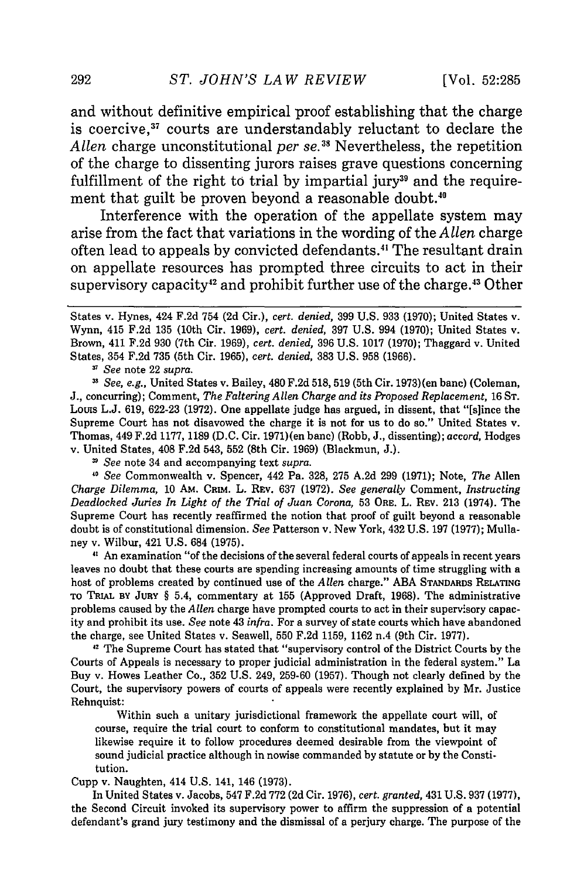and without definitive empirical proof establishing that the charge is coercive,<sup>37</sup> courts are understandably reluctant to declare the *Allen* charge unconstitutional *per se.38* Nevertheless, the repetition of the charge to dissenting jurors raises grave questions concerning fulfillment of the right to trial by impartial jury<sup>39</sup> and the requirement that guilt be proven beyond a reasonable doubt.<sup>40</sup>

Interference with the operation of the appellate system may arise from the fact that variations in the wording of the *Allen* charge often lead to appeals by convicted defendants.4 The resultant drain on appellate resources has prompted three circuits to act in their supervisory capacity<sup>42</sup> and prohibit further use of the charge.<sup>43</sup> Other

*<sup>3</sup>See* note 22 *supra.*

*11 See, e.g.,* United States v. Bailey, 480 F.2d 518, 519 (5th Cir. 1973) (en banc) (Coleman, J., concurring); Comment, *The Faltering Allen Charge and its Proposed Replacement,* 16 **ST.** Louis L.J. 619, 622-23 (1972). One appellate judge has argued, in dissent, that "[s]ince the Supreme Court has not disavowed the charge it is not for us to do so." United States v. Thomas, 449 F.2d 1177, 1189 (D.C. Cir. 1971)(en banc) (Robb, J., dissenting); *accord,* Hodges v. United States, 408 F.2d 543, 552 (8th Cir. 1969) (Blackmun, J.).

*See* note 34 and accompanying text *supra.*

*40 See* Commonwealth v. Spencer, 442 Pa. 328, 275 A.2d 299 (1971); Note, *The* Allen *Charge Dilemma,* 10 AM. CRIM. L. REv. 637 (1972). *See generally* Comment, *Instructing Deadlocked Juries In Light of the Trial of Juan Corona,* 53 ORE. L. REv. **213** (1974). The Supreme Court has recently reaffirmed the notion that proof of guilt beyond a reasonable doubt is of constitutional dimension. *See* Patterson v. New York, 432 U.S. 197 (1977); Mullaney v. Wilbur, 421 U.S. 684 (1975).

*"* An examination "of the decisions of the several federal courts of appeals in recent years leaves no doubt that these courts are spending increasing amounts of time struggling with a host of problems created by continued use of the *Allen* charge." ABA **STANDARDs RELATING** To **TRIAL BY JURY** § 5.4, commentary at 155 (Approved Draft, 1968). The administrative problems caused by the *Allen* charge have prompted courts to act in their supervisory capacity and prohibit its use. *See* note 43 *infra.* For a survey of state courts which have abandoned the charge, see United States v. Seawell, 550 F.2d 1159, 1162 n.4 (9th Cir. 1977).

<sup>42</sup> The Supreme Court has stated that "supervisory control of the District Courts by the Courts of Appeals is necessary to proper judicial administration in the federal system." La Buy v. Howes Leather Co., 352 U.S. 249, 259-60 (1957). Though not clearly defined by the Court, the supervisory powers of courts of appeals were recently explained by Mr. Justice Rehnquist:

Within such a unitary jurisdictional framework the appellate court will, of course, require the trial court to conform to constitutional mandates, but **it** may likewise require it to follow procedures deemed desirable from the viewpoint of sound judicial practice although in nowise commanded by statute or by the Constitution.

Cupp v. Naughten, 414 U.S. 141, 146 (1973).

In United States v. Jacobs, 547 F.2d 772 (2d Cir. 1976), *cert. granted,* 431 U.S. 937 (1977), the Second Circuit invoked **its** supervisory power to affirm the suppression of a potential defendant's grand jury testimony and the dismissal of a perjury charge. The purpose of the

States v. Hynes, 424 F.2d 754 (2d Cir.), *cert. denied,* 399 U.S. 933 (1970); United States v. Wynn, 415 F.2d 135 (10th Cir. 1969), *cert. denied,* 397 U.S. 994 (1970); United States v. Brown, 411 F.2d 930 (7th Cir. 1969), *cert. denied,* 396 U.S. 1017 (1970); Thaggard v. United States, 354 F.2d 735 (5th Cir. 1965), *cert. denied,* 383 U.S. 958 (1966).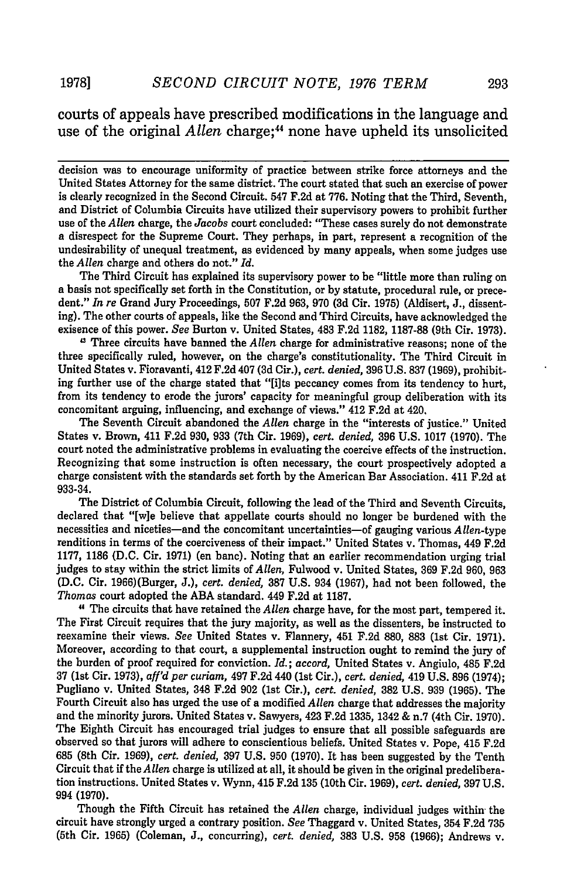### courts of appeals have prescribed modifications in the language and use of the original *Allen* charge;<sup>44</sup> none have upheld its unsolicited

decision was to encourage uniformity of practice between strike force attorneys and the United States Attorney for the same district. The court stated that such an exercise of power is clearly recognized in the Second Circuit. 547 **F.2d** at **776.** Noting that the Third, Seventh, and District of Columbia Circuits have utilized their supervisory powers to prohibit further use of the *Allen* charge, the *Jacobs* court concluded: "These cases surely do not demonstrate a disrespect for the Supreme Court. They perhaps, in part, represent a recognition of the undesirability of unequal treatment, as evidenced **by** many appeals, when some judges use the *Allen* charge and others do not." *Id.*

The Third Circuit has explained its supervisory power to be "little more than ruling on a basis not specifically set forth in the Constitution, or **by** statute, procedural rule, or precedent." *In re* Grand Jury Proceedings, **507 F.2d 963, 970 (3d** Cir. **1975)** (Aldisert, **J.,** dissenting). The other courts of appeals, like the Second and Third Circuits, have acknowledged the exisence of this power. *See* Burton v. United States, 483 **F.2d 1182, 1187-88** (9th Cir. **1973).**

" Three circuits have banned the *Allen* charge for administrative reasons; none of the three specifically ruled, however, on the charge's constitutionality. The Third Circuit in United States v. Fioravanti, 412 **F.2d** 407 **(3d** Cir.), *cert. denied,* **396 U.S. 837 (1969),** prohibiting further use of the charge stated that "[ilts peccancy comes from its tendency to hurt, from its tendency to erode the jurors' capacity for meaningful group deliberation with its concomitant arguing, influencing, and exchange of views." 412 **F.2d** at 420,

The Seventh Circuit abandoned the *Allen* charge in the "interests of justice." United States v. Brown, 411 **F.2d 930, 933** (7th Cir. **1969),** *cert. denied,* **396 U.S. 1017 (1970).** The court noted the administrative problems in evaluating the coercive effects of the instruction. Recognizing that some instruction is often necessary, the court prospectively adopted a charge consistent with the standards set forth **by** the American Bar Association. 411 **F.2d** at **933-34.**

The District of Columbia Circuit, following the lead of the Third and Seventh Circuits, declared that "[w]e believe that appellate courts should no longer be burdened with the necessities and niceties-and the concomitant uncertainties-of gauging various *Allen-type* renditions in terms of the coerciveness of their impact." United States v. Thomas, 449 **F.2d 1177,** 1186 **(D.C.** Cir. **1971)** (en banc). Noting that an earlier recommendation urging trial judges to stay within the strict limits of *Allen,* Fulwood v. United States, **369 F.2d 960, 963 (D.C.** Cir. 1966)(Burger, **J.),** *cert. denied,* **387 U.S.** 934 **(1967),** had not been followed, the *Thomas* court adopted the **ABA** standard. 449 **F.2d** at **1187.**

**"** The circuits that have retained the *Allen* charge have, for the most part, tempered it. The First Circuit requires that the jury majority, as well as the dissenters, be instructed to reexamine their views. *See* United States v. Flannery, 451 **F.2d 880, 883** (1st Cir. **1971).** Moreover, according to that court, a supplemental instruction ought to remind the jury of the burden of proof required for conviction. *Id.; accord,* United States v. Angiulo, 485 **F.2d 37** (1st Cir. **1973),** *aff'd per curiam,* 497 **F.2d** 440 (1st Cir.), *cert. denied,* 419 **U.S. 896** (1974); Pugliano v. United States, 348 **F.2d 902** (1st Cir.), *cert. denied,* **382 U.S. 939 (1965).** The Fourth Circuit also has urged the use of a modified *Allen* charge that addresses the majority and the minority jurors. United States v. Sawyers, 423 **F.2d 1335,** 1342 & n.7 (4th Cir. **1970).** The Eighth Circuit has encouraged trial judges to ensure that all possible safeguards are observed so that jurors will adhere to conscientious beliefs. United States v. Pope, 415 **F.2d 685** (8th Cir. 1969), *cert. denied,* **397 U.S. 950 (1970).** It has been suggested **by** the Tenth Circuit that if the *Allen* charge is utilized at all, it should be given in the original predeliberation instructions. United States v. Wynn, 415 **F.2d 135** (10th Cir. **1969),** *cert. denied,* **397 U.S. 994 (1970).**

Though the Fifth Circuit has retained the *Allen* charge, individual judges within the circuit have strongly urged a contrary position. *See* Thaggard v. United States, 354 **F.2d 735** (5th Cir. 1965) (Coleman, **J.,** concurring), *cert. denied,* **383 U.S. 958 (1966);** Andrews v.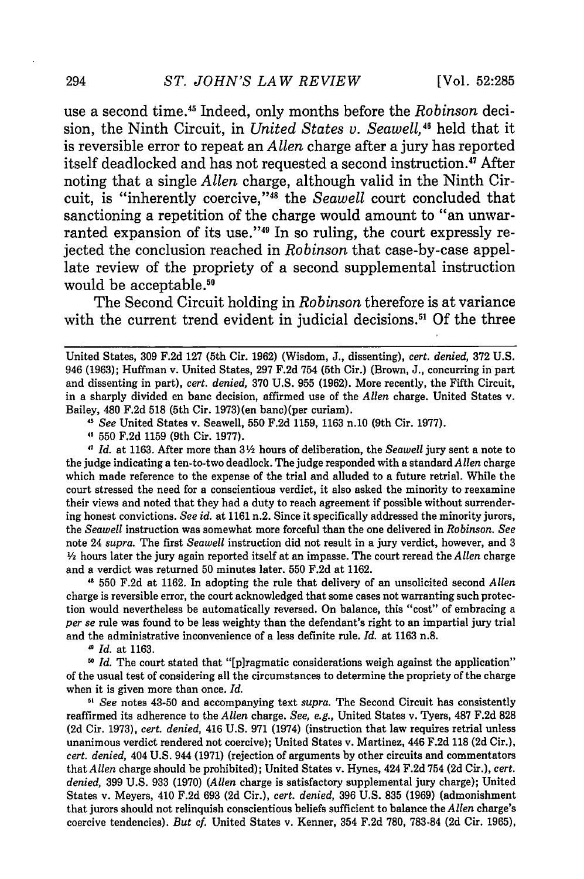use a second time.45 Indeed, only months before the *Robinson* decision, the Ninth Circuit, in *United States v. Seawell*,<sup>46</sup> held that it is reversible error to repeat an *Allen* charge after a jury has reported itself deadlocked and has not requested a second instruction.<sup>47</sup> After noting that a single *Allen* charge, although valid in the Ninth Circuit, is "inherently coercive,"<sup>48</sup> the *Seawell* court concluded that sanctioning a repetition of the charge would amount to "an unwarranted expansion of its use."<sup>49</sup> In so ruling, the court expressly rejected the conclusion reached in *Robinson* that case-by-case appellate review of the propriety of a second supplemental instruction would be acceptable.<sup>50</sup>

The Second Circuit holding in *Robinson* therefore is at variance with the current trend evident in judicial decisions.<sup>51</sup> Of the three

*"I See* United States v. Seawell, 550 F.2d 1159, 1163 n.10 (9th Cir. 1977).

550 F.2d 1159 (9th Cir. 1977).

*Id.* at 1163. After more than **32** hours of deliberation, the *Seawell* jury sent a note to the judge indicating a ten-to-two deadlock. The judge responded with a standard *Allen* charge which made reference to the expense of the trial and alluded to a future retrial. While the court stressed the need for a conscientious verdict, it also asked the minority to reexamine their views and noted that they had a duty to reach agreement if possible without surrendering honest convictions. *See id.* at 1161 n.2. Since it specifically addressed the minority jurors, the *Seawell* instruction was somewhat more forceful than the one delivered in *Robinson. See* note 24 *supra.* The first *Seawell* instruction did not result in a jury verdict, however, and 3 *1/2* hours later the jury again reported itself at an impasse. The court reread the *Allen* charge and a verdict was returned 50 minutes later. 550 F.2d at 1162.

**11** 550 F.2d at 1162. In adopting the rule that delivery of an unsolicited second *Allen* charge is reversible error, the court acknowledged that some cases not warranting such protection would nevertheless be automatically reversed. On balance, this "cost" of embracing a *per se* rule was found to be less weighty than the defendant's right to an impartial jury trial and the administrative inconvenience of a less definite rule. *Id.* at 1163 n.8.

" *Id.* at 1163.

<sup>50</sup> *Id.* The court stated that "[p]ragmatic considerations weigh against the application" of the usual test of considering all the circumstances to determine the propriety of the charge when it is given more than once. *Id.*

<sup>51</sup> See notes 43-50 and accompanying text *supra*. The Second Circuit has consistently reaffirmed its adherence to the *Allen* charge. *See, e.g.,* United States v. Tyers, 487 F.2d 828 (2d Cir. 1973), *cert. denied,* 416 U.S. 971 (1974) (instruction that law requires retrial unless unanimous verdict rendered not coercive); United States v. Martinez, 446 F.2d **118** (2d Cir.), *cert. denied,* 404 U.S. 944 (1971) (rejection of arguments by other circuits and commentators that *Allen* charge should be prohibited); United States v. Hynes, 424 F.2d 754 (2d Cir.), *cert. denied,* 399 U.S. 933 (1970) *(Allen* charge is satisfactory supplemental jury charge); United States v. Meyers, 410 F.2d 693 (2d Cir.), *cert. denied,* 396 U.S. 835 (1969) (admonishment that jurors should not relinquish conscientious beliefs sufficient to balance the *Allen* charge's coercive tendencies). *But cf.* United States v. Kenner, 354 F.2d 780, 783-84 (2d Cir. 1965),

United States, 309 F.2d 127 (5th Cir. 1962) (Wisdom, J., dissenting), *cert. denied,* 372 U.S. 946 (1963); Huffman v. United States, 297 F.2d 754 (5th Cir.) (Brown, J., concurring in part and dissenting in part), *cert. denied,* 370 U.S. 955 (1962). More recently, the Fifth Circuit, in a sharply divided en banc decision, affirmed use of the *Allen* charge. United States v. Bailey, 480 F.2d 518 (5th Cir. 1973)(en banc)(per curiam).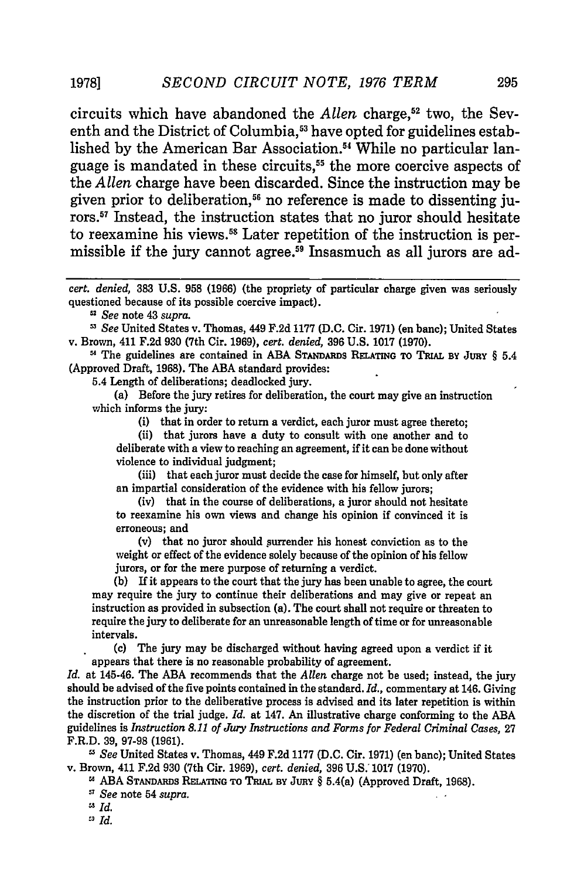#### 19781 *SECOND CIRCUIT NOTE, 1976 TERM*

circuits which have abandoned the *Allen* charge,<sup>52</sup> two, the Seventh and the District of Columbia,<sup>53</sup> have opted for guidelines established by the American Bar Association.<sup>54</sup> While no particular language is mandated in these circuits,<sup>55</sup> the more coercive aspects of the *Allen* charge have been discarded. Since the instruction may be given prior to deliberation,<sup>56</sup> no reference is made to dissenting ju**rors.57** Instead, the instruction states that no juror should hesitate to reexamine his views.58 Later repetition of the instruction is permissible if the jury cannot agree.<sup>59</sup> Insasmuch as all jurors are ad-

*cert. denied,* **383 U.S. 958 (1966)** (the propriety **of** particular charge given was seriously questioned because of its possible coercive impact).

*See* note 43 *supra.*

*See* United States v. Thomas, 449 F.2d 1177 (D.C. Cir. 1971) (en banc); United States v. Brown, 411 F.2d 930 (7th Cir. 1969), *cert. denied,* 396 U.S. 1017 (1970).

**"** The guidelines are contained in ABA STANDARDs **RELATING** TO **TRIAL BY JURY** § 5.4 (Approved Draft, 1968). The ABA standard provides:

5.4 Length of deliberations; deadlocked jury.

(a) Before the jury retires for deliberation, the court may give an instruction which informs the jury:

(i) that in order to return a verdict, each juror must agree thereto;

(ii) that jurors have a duty to consult with one another and to deliberate with a view to reaching an agreement, if it can be done without violence to individual judgment;

(iii) that each juror must decide the case for himself, but only after an impartial consideration of the evidence with his fellow jurors;

(iv) that in the course of deliberations, a juror should not hesitate to reexamine his own views and change his opinion if convinced it is erroneous; and

(v) that no juror should surrender his honest conviction as to the weight or effect of the evidence solely because of the opinion of his fellow jurors, or for the mere purpose of returning a verdict.

**(b)** If it appears to the court that the jury has been unable to agree, the court may require the jury to continue their deliberations and may give or repeat an instruction as provided in subsection (a). The court shall not require or threaten to require the jury to deliberate for an unreasonable length of time or for unreasonable intervals.

(c) The jury may be discharged without having agreed upon a verdict if it appears that there is no reasonable probability of agreement.

*Id.* at 145-46. The **ABA** recommends that the *Allen* charge not be used; instead, the jury should be advised of the five points contained in the standard. *Id.,* commentary at 146. Giving the instruction prior to the deliberative process is advised and its later repetition is within the discretion of the trial judge. *Id.* at 147. An illustrative charge conforming to the **ABA** guidelines is *Instruction 8.11 of Jury Instructions and Forms for Federal Criminal Cases,* **27** F.R.D. 39, 97-98 (1961).

*0' See* United States v. Thomas, 449 F.2d 1177 (D.C. Cir. 1971) (en banc); United States v. Brown, 411 F.2d 930 (7th Cir. 1969), *cert. denied,* **396** U.S. 1017 (1970).

<sup>28</sup> ABA STANDARDS RELATING TO TRIAL BY JURY § 5.4(a) (Approved Draft, 1968).

- *See* note 54 *supra.*
- " *Id.*
- *"'Id.*